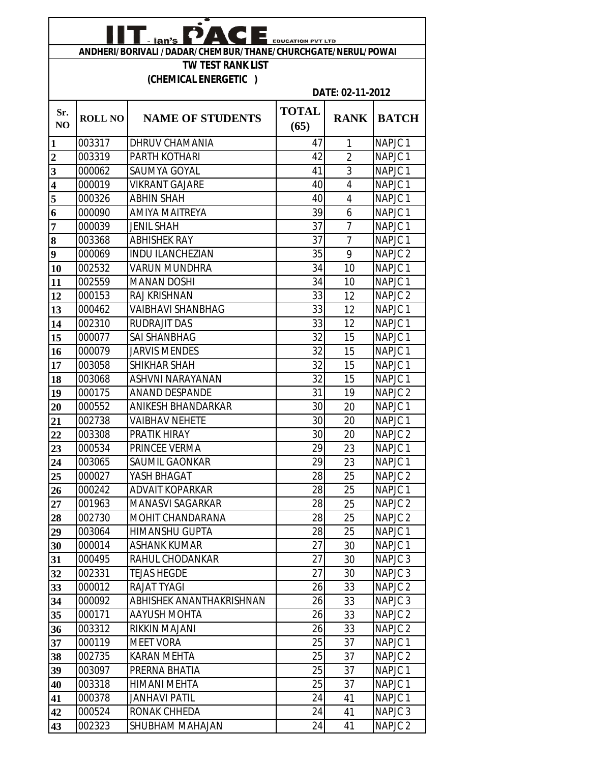| A C E<br>- ian's<br><b>EDUCATION PVT LTD</b>                 |                |                          |                      |                |                    |  |
|--------------------------------------------------------------|----------------|--------------------------|----------------------|----------------|--------------------|--|
| ANDHERI/BORIVALI /DADAR/CHEMBUR/THANE/CHURCHGATE/NERUL/POWAI |                |                          |                      |                |                    |  |
|                                                              |                | <b>TW TEST RANK LIST</b> |                      |                |                    |  |
|                                                              |                | (CHEMICAL ENERGETIC)     |                      |                |                    |  |
|                                                              |                |                          | DATE: 02-11-2012     |                |                    |  |
| Sr.<br>NO                                                    | <b>ROLL NO</b> | <b>NAME OF STUDENTS</b>  | <b>TOTAL</b><br>(65) | <b>RANK</b>    | <b>BATCH</b>       |  |
| 1                                                            | 003317         | DHRUV CHAMANIA           | 47                   | 1              | NAPJC <sub>1</sub> |  |
| $\overline{2}$                                               | 003319         | <b>PARTH KOTHARI</b>     | 42                   | $\overline{2}$ | NAPJC <sub>1</sub> |  |
| $\overline{\mathbf{3}}$                                      | 000062         | <b>SAUMYA GOYAL</b>      | 41                   | 3              | NAPJC <sub>1</sub> |  |
| $\overline{\mathbf{4}}$                                      | 000019         | <b>VIKRANT GAJARE</b>    | 40                   | $\overline{4}$ | NAPJC <sub>1</sub> |  |
| 5                                                            | 000326         | <b>ABHIN SHAH</b>        | 40                   | $\overline{4}$ | NAPJC <sub>1</sub> |  |
| 6                                                            | 000090         | <b>AMIYA MAITREYA</b>    | 39                   | 6              | NAPJC <sub>1</sub> |  |
| 7                                                            | 000039         | <b>JENIL SHAH</b>        | 37                   | $\overline{7}$ | NAPJC <sub>1</sub> |  |
| 8                                                            | 003368         | <b>ABHISHEK RAY</b>      | 37                   | $\overline{7}$ | NAPJC <sub>1</sub> |  |
| 9                                                            | 000069         | <b>INDU ILANCHEZIAN</b>  | 35                   | 9              | NAPJC <sub>2</sub> |  |
| 10                                                           | 002532         | <b>VARUN MUNDHRA</b>     | 34                   | 10             | NAPJC <sub>1</sub> |  |
| 11                                                           | 002559         | <b>MANAN DOSHI</b>       | 34                   | 10             | NAPJC <sub>1</sub> |  |
| 12                                                           | 000153         | RAJ KRISHNAN             | 33                   | 12             | NAPJC <sub>2</sub> |  |
| 13                                                           | 000462         | <b>VAIBHAVI SHANBHAG</b> | 33                   | 12             | NAPJC <sub>1</sub> |  |
| 14                                                           | 002310         | <b>RUDRAJIT DAS</b>      | 33                   | 12             | NAPJC <sub>1</sub> |  |
| 15                                                           | 000077         | <b>SAI SHANBHAG</b>      | 32                   | 15             | NAPJC <sub>1</sub> |  |
| 16                                                           | 000079         | <b>JARVIS MENDES</b>     | 32                   | 15             | NAPJC <sub>1</sub> |  |
| 17                                                           | 003058         | SHIKHAR SHAH             | 32                   | 15             | NAPJC <sub>1</sub> |  |
| 18                                                           | 003068         | ASHVNI NARAYANAN         | 32                   | 15             | NAPJC <sub>1</sub> |  |
| 19                                                           | 000175         | <b>ANAND DESPANDE</b>    | 31                   | 19             | NAPJC <sub>2</sub> |  |
| 20                                                           | 000552         | ANIKESH BHANDARKAR       | 30                   | 20             | NAPJC <sub>1</sub> |  |
| 21                                                           | 002738         | <b>VAIBHAV NEHETE</b>    | 30                   | 20             | NAPJC <sub>1</sub> |  |
| 22                                                           | 003308         | <b>PRATIK HIRAY</b>      | 30                   | 20             | NAPJC <sub>2</sub> |  |
| 23                                                           | 000534         | PRINCEE VERMA            | 29                   | 23             | NAPJC <sub>1</sub> |  |
| 24                                                           | 003065         | SAUMIL GAONKAR           | 29                   | 23             | NAPJC <sub>1</sub> |  |
| 25                                                           | 000027         | YASH BHAGAT              | 28                   | 25             | NAPJC 2            |  |
| 26                                                           | 000242         | <b>ADVAIT KOPARKAR</b>   | 28                   | 25             | NAPJC <sub>1</sub> |  |
| 27                                                           | 001963         | <b>MANASVI SAGARKAR</b>  | 28                   | 25             | NAPJC <sub>2</sub> |  |
| 28                                                           | 002730         | MOHIT CHANDARANA         | 28                   | 25             | NAPJC <sub>2</sub> |  |
| 29                                                           | 003064         | <b>HIMANSHU GUPTA</b>    | 28                   | 25             | NAPJC <sub>1</sub> |  |
| 30                                                           | 000014         | <b>ASHANK KUMAR</b>      | 27                   | 30             | NAPJC <sub>1</sub> |  |
| 31                                                           | 000495         | RAHUL CHODANKAR          | 27                   | 30             | NAPJC <sub>3</sub> |  |
| 32                                                           | 002331         | <b>TEJAS HEGDE</b>       | 27                   | 30             | NAPJC <sub>3</sub> |  |
| 33                                                           | 000012         | <b>RAJAT TYAGI</b>       | 26                   | 33             | NAPJC <sub>2</sub> |  |
| 34                                                           | 000092         | ABHISHEK ANANTHAKRISHNAN | 26                   | 33             | NAPJC <sub>3</sub> |  |
| 35                                                           | 000171         | AAYUSH MOHTA             | 26                   | 33             | NAPJC <sub>2</sub> |  |
| 36                                                           | 003312         | RIKKIN MAJANI            | 26                   | 33             | NAPJC <sub>2</sub> |  |
| 37                                                           | 000119         | <b>MEET VORA</b>         | 25                   | 37             | NAPJC <sub>1</sub> |  |
| 38                                                           | 002735         | <b>KARAN MEHTA</b>       | 25                   | 37             | NAPJC <sub>2</sub> |  |
| 39                                                           | 003097         | PRERNA BHATIA            | 25                   | 37             | NAPJC <sub>1</sub> |  |
| 40                                                           | 003318         | <b>HIMANI MEHTA</b>      | 25                   | 37             | NAPJC <sub>1</sub> |  |
| 41                                                           | 000378         | <b>JANHAVI PATIL</b>     | 24                   | 41             | NAPJC <sub>1</sub> |  |
| 42                                                           | 000524         | RONAK CHHEDA             | 24                   | 41             | NAPJC <sub>3</sub> |  |
| 43                                                           | 002323         | SHUBHAM MAHAJAN          | 24                   | 41             | NAPJC <sub>2</sub> |  |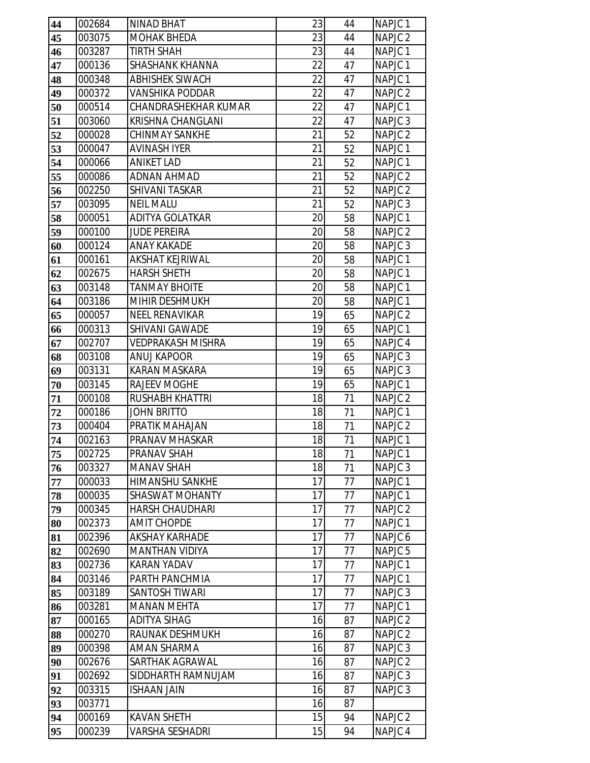| 44       | 002684           | <b>NINAD BHAT</b>                         | 23       | 44       | NAPJC <sub>1</sub>                       |
|----------|------------------|-------------------------------------------|----------|----------|------------------------------------------|
| 45       | 003075           | <b>MOHAK BHEDA</b>                        | 23       | 44       | NAPJC <sub>2</sub>                       |
| 46       | 003287           | <b>TIRTH SHAH</b>                         | 23       | 44       | NAPJC <sub>1</sub>                       |
| 47       | 000136           | <b>SHASHANK KHANNA</b>                    | 22       | 47       | NAPJC <sub>1</sub>                       |
| 48       | 000348           | <b>ABHISHEK SIWACH</b>                    | 22       | 47       | NAPJC <sub>1</sub>                       |
| 49       | 000372           | <b>VANSHIKA PODDAR</b>                    | 22       | 47       | NAPJC <sub>2</sub>                       |
| 50       | 000514           | <b>CHANDRASHEKHAR KUMAR</b>               | 22       | 47       | NAPJC <sub>1</sub>                       |
| 51       | 003060           | KRISHNA CHANGLANI                         | 22       | 47       | NAPJC <sub>3</sub>                       |
| 52       | 000028           | <b>CHINMAY SANKHE</b>                     | 21       | 52       | NAPJC <sub>2</sub>                       |
| 53       | 000047           | <b>AVINASH IYER</b>                       | 21       | 52       | NAPJC <sub>1</sub>                       |
| 54       | 000066           | <b>ANIKET LAD</b>                         | 21       | 52       | NAPJC <sub>1</sub>                       |
| 55       | 000086           | <b>ADNAN AHMAD</b>                        | 21       | 52       | NAPJC <sub>2</sub>                       |
| 56       | 002250           | <b>SHIVANI TASKAR</b>                     | 21       | 52       | NAPJC <sub>2</sub>                       |
| 57       | 003095           | <b>NEIL MALU</b>                          | 21       | 52       | NAPJC <sub>3</sub>                       |
| 58       | 000051           | <b>ADITYA GOLATKAR</b>                    | 20       | 58       | NAPJC <sub>1</sub>                       |
| 59       | 000100           | <b>JUDE PEREIRA</b>                       | 20       | 58       | NAPJC <sub>2</sub>                       |
| 60       | 000124           | <b>ANAY KAKADE</b>                        | 20       | 58       | NAPJC <sub>3</sub>                       |
| 61       | 000161           | <b>AKSHAT KEJRIWAL</b>                    | 20       | 58       | NAPJC <sub>1</sub>                       |
| 62       | 002675           | <b>HARSH SHETH</b>                        | 20       | 58       | NAPJC <sub>1</sub>                       |
| 63       | 003148           | <b>TANMAY BHOITE</b>                      | 20       | 58       | NAPJC <sub>1</sub>                       |
| 64       | 003186           | MIHIR DESHMUKH                            | 20       | 58       | NAPJC <sub>1</sub>                       |
| 65       | 000057           | <b>NEEL RENAVIKAR</b>                     | 19       | 65       | NAPJC <sub>2</sub>                       |
| 66       | 000313           | SHIVANI GAWADE                            | 19       | 65       | NAPJC <sub>1</sub>                       |
| 67       | 002707           | <b>VEDPRAKASH MISHRA</b>                  | 19       | 65       | NAPJC <sub>4</sub>                       |
| 68       | 003108           | <b>ANUJ KAPOOR</b>                        | 19       | 65       | NAPJC <sub>3</sub>                       |
| 69       | 003131           | <b>KARAN MASKARA</b>                      | 19       | 65       | NAPJC <sub>3</sub>                       |
| 70       | 003145           | <b>RAJEEV MOGHE</b>                       | 19       | 65       | NAPJC <sub>1</sub>                       |
| 71       | 000108           | <b>RUSHABH KHATTRI</b>                    | 18       | 71       | NAPJC <sub>2</sub>                       |
| 72       | 000186           | <b>JOHN BRITTO</b>                        | 18       | 71       | NAPJC <sub>1</sub>                       |
| 73       | 000404           | PRATIK MAHAJAN                            | 18       | 71       | NAPJC <sub>2</sub>                       |
| 74       | 002163           | PRANAV MHASKAR                            | 18       | 71       | NAPJC <sub>1</sub>                       |
| 75       | 002725           | PRANAV SHAH                               | 18       | 71       | NAPJC <sub>1</sub>                       |
| 76       | 003327           | MANAV SHAH                                | 18       | 71       | NAPJC <sub>3</sub>                       |
| 77       | 000033           | <b>HIMANSHU SANKHE</b>                    | 17       | 77       | NAPJC <sub>1</sub>                       |
| 78       | 000035           | <b>SHASWAT MOHANTY</b>                    | 17       | 77       | NAPJC <sub>1</sub>                       |
| 79       | 000345           | <b>HARSH CHAUDHARI</b>                    | 17       | 77       | NAPJC <sub>2</sub>                       |
| 80       | 002373           | <b>AMIT CHOPDE</b>                        | 17       | 77       | NAPJC <sub>1</sub>                       |
| 81       | 002396           | <b>AKSHAY KARHADE</b>                     | 17       | 77       | NAPJC <sub>6</sub>                       |
| 82       | 002690           | <b>MANTHAN VIDIYA</b>                     | 17       | 77       | NAPJC <sub>5</sub>                       |
| 83       | 002736           | <b>KARAN YADAV</b>                        | 17       | 77       | NAPJC <sub>1</sub>                       |
| 84       | 003146           | PARTH PANCHMIA                            | 17       | 77       | NAPJC <sub>1</sub>                       |
| 85       | 003189           | <b>SANTOSH TIWARI</b>                     | 17       | 77       | NAPJC <sub>3</sub>                       |
| 86       | 003281           | <b>MANAN MEHTA</b><br><b>ADITYA SIHAG</b> | 17       | 77       | NAPJC <sub>1</sub>                       |
| 87<br>88 | 000165           | RAUNAK DESHMUKH                           | 16<br>16 | 87<br>87 | NAPJC <sub>2</sub><br>NAPJC <sub>2</sub> |
| 89       | 000270<br>000398 | <b>AMAN SHARMA</b>                        | 16       | 87       | NAPJC <sub>3</sub>                       |
|          | 002676           | SARTHAK AGRAWAL                           | 16       | 87       | NAPJC <sub>2</sub>                       |
| 90<br>91 | 002692           | SIDDHARTH RAMNUJAM                        | 16       | 87       | NAPJC <sub>3</sub>                       |
| 92       | 003315           | <b>ISHAAN JAIN</b>                        | 16       | 87       | NAPJC <sub>3</sub>                       |
| 93       | 003771           |                                           | 16       | 87       |                                          |
| 94       | 000169           | <b>KAVAN SHETH</b>                        | 15       | 94       | NAPJC <sub>2</sub>                       |
| 95       | 000239           | <b>VARSHA SESHADRI</b>                    | 15       | 94       | NAPJC 4                                  |
|          |                  |                                           |          |          |                                          |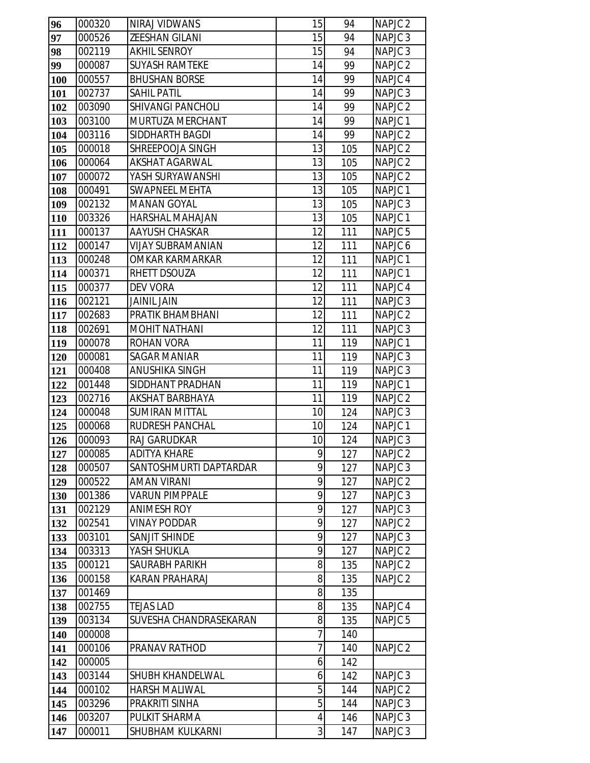| 96         | 000320           | NIRAJ VIDWANS                              | 15             | 94         | NAPJC <sub>2</sub>                       |
|------------|------------------|--------------------------------------------|----------------|------------|------------------------------------------|
| 97         | 000526           | ZEESHAN GILANI                             | 15             | 94         | NAPJC <sub>3</sub>                       |
| 98         | 002119           | <b>AKHIL SENROY</b>                        | 15             | 94         | NAPJC <sub>3</sub>                       |
| 99         | 000087           | <b>SUYASH RAMTEKE</b>                      | 14             | 99         | NAPJC <sub>2</sub>                       |
| 100        | 000557           | <b>BHUSHAN BORSE</b>                       | 14             | 99         | NAPJC <sub>4</sub>                       |
| 101        | 002737           | <b>SAHIL PATIL</b>                         | 14             | 99         | NAPJC <sub>3</sub>                       |
| 102        | 003090           | <b>SHIVANGI PANCHOLI</b>                   | 14             | 99         | NAPJC <sub>2</sub>                       |
| 103        | 003100           | MURTUZA MERCHANT                           | 14             | 99         | NAPJC <sub>1</sub>                       |
| 104        | 003116           | SIDDHARTH BAGDI                            | 14             | 99         | NAPJC <sub>2</sub>                       |
| 105        | 000018           | SHREEPOOJA SINGH                           | 13             | 105        | NAPJC <sub>2</sub>                       |
| 106        | 000064           | <b>AKSHAT AGARWAL</b>                      | 13             | 105        | NAPJC <sub>2</sub>                       |
| 107        | 000072           | YASH SURYAWANSHI                           | 13             | 105        | NAPJC <sub>2</sub>                       |
| 108        | 000491           | <b>SWAPNEEL MEHTA</b>                      | 13             | 105        | NAPJC <sub>1</sub>                       |
| 109        | 002132           | <b>MANAN GOYAL</b>                         | 13             | 105        | NAPJC <sub>3</sub>                       |
| 110        | 003326           | <b>HARSHAL MAHAJAN</b>                     | 13             | 105        | NAPJC <sub>1</sub>                       |
| 111        | 000137           | AAYUSH CHASKAR                             | 12             | 111        | NAPJC <sub>5</sub>                       |
| 112        | 000147           | <b>VIJAY SUBRAMANIAN</b>                   | 12             | 111        | NAPJC 6                                  |
| 113        | 000248           | OMKAR KARMARKAR                            | 12             | 111        | NAPJC <sub>1</sub>                       |
| 114        | 000371           | RHETT DSOUZA                               | 12             | 111        | NAPJC <sub>1</sub>                       |
| 115        | 000377           | <b>DEV VORA</b>                            | 12             | 111        | NAPJC 4                                  |
| 116        | 002121           | <b>JAINIL JAIN</b>                         | 12             | 111        | NAPJC <sub>3</sub>                       |
| 117        | 002683           | PRATIK BHAMBHANI                           | 12             | 111        | NAPJC <sub>2</sub>                       |
| 118        | 002691           | <b>MOHIT NATHANI</b>                       | 12             | 111        | NAPJC <sub>3</sub>                       |
| 119        | 000078           | <b>ROHAN VORA</b>                          | 11             | 119        | NAPJC <sub>1</sub>                       |
| 120        | 000081           | <b>SAGAR MANIAR</b>                        | 11             | 119        | NAPJC <sub>3</sub>                       |
| 121        | 000408           | <b>ANUSHIKA SINGH</b>                      | 11             | 119        | NAPJC <sub>3</sub>                       |
| 122        | 001448           | SIDDHANT PRADHAN                           | 11             | 119        | NAPJC <sub>1</sub>                       |
| 123        | 002716           | <b>AKSHAT BARBHAYA</b>                     | 11             | 119        | NAPJC <sub>2</sub>                       |
| 124        | 000048           | <b>SUMIRAN MITTAL</b>                      | 10             | 124        | NAPJC <sub>3</sub>                       |
| 125        | 000068<br>000093 | <b>RUDRESH PANCHAL</b>                     | 10<br>10       | 124        | NAPJC <sub>1</sub>                       |
| 126<br>127 | 000085           | <b>RAJ GARUDKAR</b><br><b>ADITYA KHARE</b> | $\overline{9}$ | 124<br>127 | NAPJC <sub>3</sub><br>NAPJC <sub>2</sub> |
| 128        | 000507           | SANTOSHMURTI DAPTARDAR                     | 9              | 127        | NAPJC <sub>3</sub>                       |
| 129        | 000522           | <b>AMAN VIRANI</b>                         | 9              | 127        | NAPJC 2                                  |
| 130        | 001386           | <b>VARUN PIMPPALE</b>                      | 9              | 127        | NAPJC <sub>3</sub>                       |
| 131        | 002129           | <b>ANIMESH ROY</b>                         | 9              | 127        | NAPJC <sub>3</sub>                       |
| 132        | 002541           | <b>VINAY PODDAR</b>                        | 9              | 127        | NAPJC <sub>2</sub>                       |
| 133        | 003101           | SANJIT SHINDE                              | 9              | 127        | NAPJC <sub>3</sub>                       |
| 134        | 003313           | YASH SHUKLA                                | 9              | 127        | NAPJC 2                                  |
| 135        | 000121           | <b>SAURABH PARIKH</b>                      | 8              | 135        | NAPJC <sub>2</sub>                       |
| 136        | 000158           | <b>KARAN PRAHARAJ</b>                      | 8              | 135        | NAPJC <sub>2</sub>                       |
| 137        | 001469           |                                            | 8              | 135        |                                          |
| 138        | 002755           | <b>TEJAS LAD</b>                           | 8              | 135        | NAPJC 4                                  |
| 139        | 003134           | SUVESHA CHANDRASEKARAN                     | 8              | 135        | NAPJC <sub>5</sub>                       |
| 140        | 000008           |                                            | 7              | 140        |                                          |
| 141        | 000106           | PRANAV RATHOD                              | $\overline{7}$ | 140        | NAPJC <sub>2</sub>                       |
| 142        | 000005           |                                            | 6              | 142        |                                          |
| 143        | 003144           | SHUBH KHANDELWAL                           | 6              | 142        | NAPJC <sub>3</sub>                       |
| 144        | 000102           | <b>HARSH MALIWAL</b>                       | 5              | 144        | NAPJC 2                                  |
| 145        | 003296           | PRAKRITI SINHA                             | 5              | 144        | NAPJC <sub>3</sub>                       |
| 146        | 003207           | PULKIT SHARMA                              | 4              | 146        | NAPJC <sub>3</sub>                       |
| 147        | 000011           | SHUBHAM KULKARNI                           | 3              | 147        | NAPJC <sub>3</sub>                       |